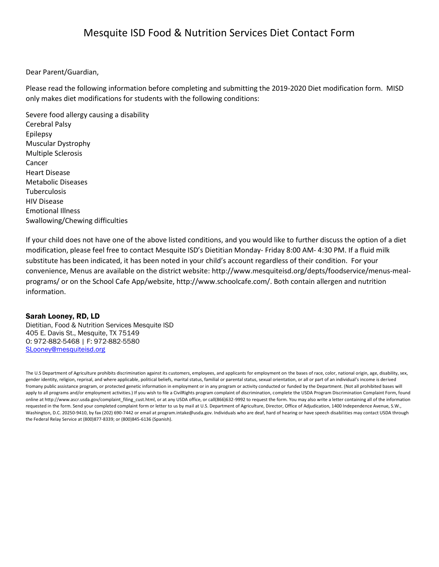# Mesquite ISD Food & Nutrition Services Diet Contact Form

Dear Parent/Guardian,

Please read the following information before completing and submitting the 2019-2020 Diet modification form. MISD only makes diet modifications for students with the following conditions:

Severe food allergy causing a disability Cerebral Palsy Epilepsy Muscular Dystrophy Multiple Sclerosis Cancer Heart Disease Metabolic Diseases Tuberculosis HIV Disease Emotional Illness Swallowing/Chewing difficulties

If your child does not have one of the above listed conditions, and you would like to further discuss the option of a diet modification, please feel free to contact Mesquite ISD's Dietitian Monday- Friday 8:00 AM- 4:30 PM. If a fluid milk substitute has been indicated, it has been noted in your child's account regardless of their condition. For your convenience, Menus are available on the district website: http://www.mesquiteisd.org/depts/foodservice/menus-mealprograms/ or on the School Cafe App/website, http://www.schoolcafe.com/. Both contain allergen and nutrition information.

#### Sarah Looney, RD, LD

Dietitian, Food & Nutrition Services Mesquite ISD 405 E. Davis St., Mesquite, TX 75149 O: 972-882-5468 | F: 972-882-5580 [SLooney@mesquiteisd.org](mailto:SLooney@mesquiteisd.org)

The U.S Department of Agriculture prohibits discrimination against its customers, employees, and applicants for employment on the bases of race, color, national origin, age, disability, sex, gender identity, religion, reprisal, and where applicable, political beliefs, marital status, familial or parental status, sexual orientation, or all or part of an individual's income is derived fromany public assistance program, or protected genetic information in employment or in any program or activity conducted or funded by the Department. (Not all prohibited bases will apply to all programs and/or employment activities.) If you wish to file a CivilRights program complaint of discrimination, complete the USDA Program Discrimination Complaint Form, found online at http://www.ascr.usda.gov/complaint\_filing\_cust.html, or at any USDA office, or call(866)632-9992 to request the form. You may also write a letter containing all of the information requested in the form. Send your completed complaint form or letter to us by mail at U.S. Department of Agriculture, Director, Office of Adjudication, 1400 Independence Avenue, S.W., Washington, D.C. 20250-9410, by fax (202) 690-7442 or email at program.intake@usda.gov. Individuals who are deaf, hard of hearing or have speech disabilities may contact USDA through the Federal Relay Service at (800)877-8339; or (800)845-6136 (Spanish).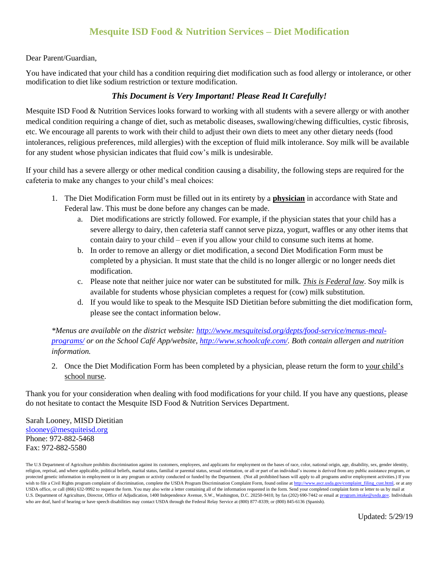## **Mesquite ISD Food & Nutrition Services – Diet Modification**

#### Dear Parent/Guardian,

You have indicated that your child has a condition requiring diet modification such as food allergy or intolerance, or other modification to diet like sodium restriction or texture modification.

#### *This Document is Very Important! Please Read It Carefully!*

Mesquite ISD Food & Nutrition Services looks forward to working with all students with a severe allergy or with another medical condition requiring a change of diet, such as metabolic diseases, swallowing/chewing difficulties, cystic fibrosis, etc. We encourage all parents to work with their child to adjust their own diets to meet any other dietary needs (food intolerances, religious preferences, mild allergies) with the exception of fluid milk intolerance. Soy milk will be available for any student whose physician indicates that fluid cow's milk is undesirable.

If your child has a severe allergy or other medical condition causing a disability, the following steps are required for the cafeteria to make any changes to your child's meal choices:

- 1. The Diet Modification Form must be filled out in its entirety by a **physician** in accordance with State and Federal law. This must be done before any changes can be made.
	- a. Diet modifications are strictly followed. For example, if the physician states that your child has a severe allergy to dairy, then cafeteria staff cannot serve pizza, yogurt, waffles or any other items that contain dairy to your child – even if you allow your child to consume such items at home.
	- b. In order to remove an allergy or diet modification, a second Diet Modification Form must be completed by a physician. It must state that the child is no longer allergic or no longer needs diet modification.
	- c. Please note that neither juice nor water can be substituted for milk. *This is Federal law*. Soy milk is available for students whose physician completes a request for (cow) milk substitution.
	- d. If you would like to speak to the Mesquite ISD Dietitian before submitting the diet modification form, please see the contact information below.

*\*Menus are available on the district website: [http://www.mesquiteisd.org/depts/food-service/menus-meal](http://www.mesquiteisd.org/depts/food-service/menus-meal-programs/)[programs/](http://www.mesquiteisd.org/depts/food-service/menus-meal-programs/) or on the School Café App/website, [http://www.schoolcafe.com/.](http://www.schoolcafe.com/) Both contain allergen and nutrition information.*

2. Once the Diet Modification Form has been completed by a physician, please return the form to your child's school nurse.

Thank you for your consideration when dealing with food modifications for your child. If you have any questions, please do not hesitate to contact the Mesquite ISD Food & Nutrition Services Department.

#### Sarah Looney, MISD Dietitian [slooney@mesquiteisd.org](mailto:slooney@mesquiteisd.org) Phone: 972-882-5468 Fax: 972-882-5580

The U.S Department of Agriculture prohibits discrimination against its customers, employees, and applicants for employment on the bases of race, color, national origin, age, disability, sex, gender identity, religion, reprisal, and where applicable, political beliefs, marital status, familial or parental status, sexual orientation, or all or part of an individual's income is derived from any public assistance program, or protected genetic information in employment or in any program or activity conducted or funded by the Department. (Not all prohibited bases will apply to all programs and/or employment activities.) If you wish to file a Civil Rights program complaint of discrimination, complete the USDA Program Discrimination Complaint Form, found online a[t http://www.ascr.usda.gov/complaint\\_filing\\_cust.html,](http://www.ascr.usda.gov/complaint_filing_cust.html) or at any USDA office, or call (866) 632-9992 to request the form. You may also write a letter containing all of the information requested in the form. Send your completed complaint form or letter to us by mail at U.S. Department of Agriculture, Director, Office of Adjudication, 1400 Independence Avenue, S.W., Washington, D.C. 20250-9410, by fax (202) 690-7442 or email a[t program.intake@usda.gov.](mailto:program.intake@usda.gov) Individuals who are deaf, hard of hearing or have speech disabilities may contact USDA through the Federal Relay Service at (800) 877-8339; or (800) 845-6136 (Spanish).